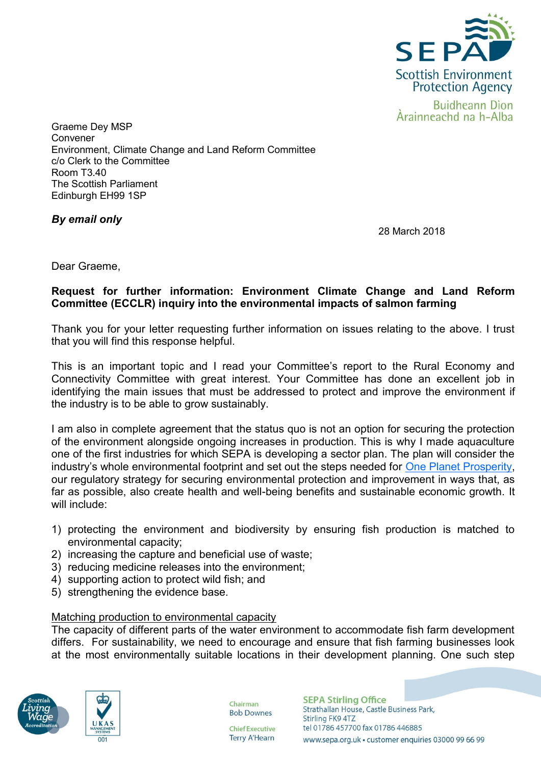

Graeme Dey MSP Convener Environment, Climate Change and Land Reform Committee c/o Clerk to the Committee Room T3.40 The Scottish Parliament Edinburgh EH99 1SP

*By email only*

28 March 2018

Dear Graeme,

# **Request for further information: Environment Climate Change and Land Reform Committee (ECCLR) inquiry into the environmental impacts of salmon farming**

Thank you for your letter requesting further information on issues relating to the above. I trust that you will find this response helpful.

This is an important topic and I read your Committee's report to the Rural Economy and Connectivity Committee with great interest. Your Committee has done an excellent job in identifying the main issues that must be addressed to protect and improve the environment if the industry is to be able to grow sustainably.

I am also in complete agreement that the status quo is not an option for securing the protection of the environment alongside ongoing increases in production. This is why I made aquaculture one of the first industries for which SEPA is developing a sector plan. The plan will consider the industry's whole environmental footprint and set out the steps needed for [One Planet Prosperity,](https://www.sepa.org.uk/media/219427/one-planet-prosperity-our-regulatory-strategy.pdf) our regulatory strategy for securing environmental protection and improvement in ways that, as far as possible, also create health and well-being benefits and sustainable economic growth. It will include:

- 1) protecting the environment and biodiversity by ensuring fish production is matched to environmental capacity;
- 2) increasing the capture and beneficial use of waste;
- 3) reducing medicine releases into the environment;
- 4) supporting action to protect wild fish; and
- 5) strengthening the evidence base.

# Matching production to environmental capacity

The capacity of different parts of the water environment to accommodate fish farm development differs. For sustainability, we need to encourage and ensure that fish farming businesses look at the most environmentally suitable locations in their development planning. One such step





Chairman **Bob Downes** 

**Chief Executive Terry A'Hearn**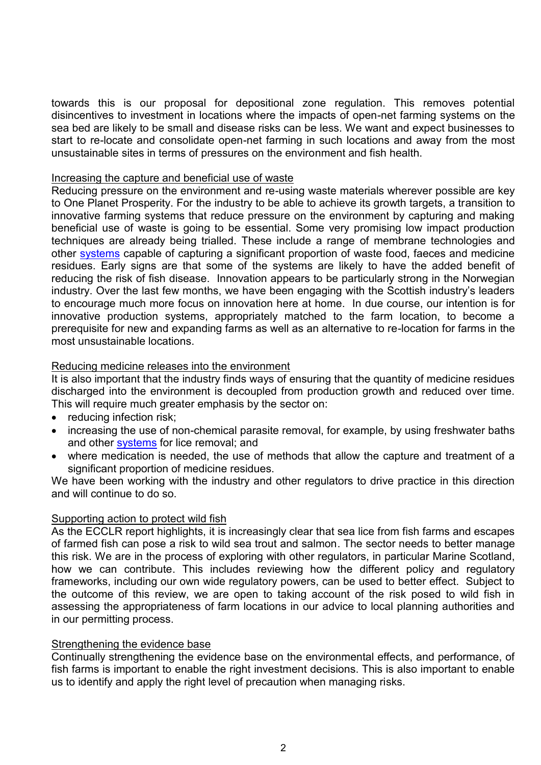towards this is our proposal for depositional zone regulation. This removes potential disincentives to investment in locations where the impacts of open-net farming systems on the sea bed are likely to be small and disease risks can be less. We want and expect businesses to start to re-locate and consolidate open-net farming in such locations and away from the most unsustainable sites in terms of pressures on the environment and fish health.

## Increasing the capture and beneficial use of waste

Reducing pressure on the environment and re-using waste materials wherever possible are key to One Planet Prosperity. For the industry to be able to achieve its growth targets, a transition to innovative farming systems that reduce pressure on the environment by capturing and making beneficial use of waste is going to be essential. Some very promising low impact production techniques are already being trialled. These include a range of membrane technologies and other [systems](http://aquafarm.no/) capable of capturing a significant proportion of waste food, faeces and medicine residues. Early signs are that some of the systems are likely to have the added benefit of reducing the risk of fish disease. Innovation appears to be particularly strong in the Norwegian industry. Over the last few months, we have been engaging with the Scottish industry's leaders to encourage much more focus on innovation here at home. In due course, our intention is for innovative production systems, appropriately matched to the farm location, to become a prerequisite for new and expanding farms as well as an alternative to re-location for farms in the most unsustainable locations.

# Reducing medicine releases into the environment

It is also important that the industry finds ways of ensuring that the quantity of medicine residues discharged into the environment is decoupled from production growth and reduced over time. This will require much greater emphasis by the sector on:

- reducing infection risk;
- increasing the use of non-chemical parasite removal, for example, by using freshwater baths and other [systems](https://www.fls.no/en/delousing-of-salmon/) for lice removal; and
- where medication is needed, the use of methods that allow the capture and treatment of a significant proportion of medicine residues.

We have been working with the industry and other regulators to drive practice in this direction and will continue to do so.

# Supporting action to protect wild fish

As the ECCLR report highlights, it is increasingly clear that sea lice from fish farms and escapes of farmed fish can pose a risk to wild sea trout and salmon. The sector needs to better manage this risk. We are in the process of exploring with other regulators, in particular Marine Scotland, how we can contribute. This includes reviewing how the different policy and regulatory frameworks, including our own wide regulatory powers, can be used to better effect. Subject to the outcome of this review, we are open to taking account of the risk posed to wild fish in assessing the appropriateness of farm locations in our advice to local planning authorities and in our permitting process.

#### Strengthening the evidence base

Continually strengthening the evidence base on the environmental effects, and performance, of fish farms is important to enable the right investment decisions. This is also important to enable us to identify and apply the right level of precaution when managing risks.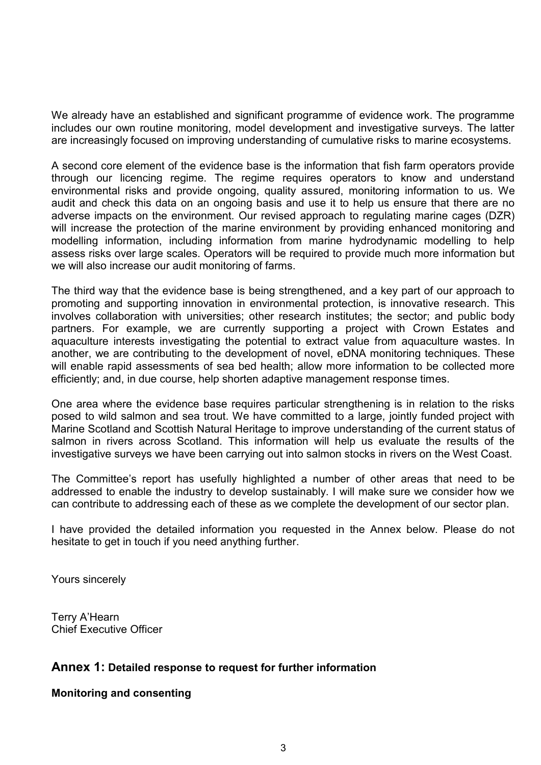We already have an established and significant programme of evidence work. The programme includes our own routine monitoring, model development and investigative surveys. The latter are increasingly focused on improving understanding of cumulative risks to marine ecosystems.

A second core element of the evidence base is the information that fish farm operators provide through our licencing regime. The regime requires operators to know and understand environmental risks and provide ongoing, quality assured, monitoring information to us. We audit and check this data on an ongoing basis and use it to help us ensure that there are no adverse impacts on the environment. Our revised approach to regulating marine cages (DZR) will increase the protection of the marine environment by providing enhanced monitoring and modelling information, including information from marine hydrodynamic modelling to help assess risks over large scales. Operators will be required to provide much more information but we will also increase our audit monitoring of farms.

The third way that the evidence base is being strengthened, and a key part of our approach to promoting and supporting innovation in environmental protection, is innovative research. This involves collaboration with universities; other research institutes; the sector; and public body partners. For example, we are currently supporting a project with Crown Estates and aquaculture interests investigating the potential to extract value from aquaculture wastes. In another, we are contributing to the development of novel, eDNA monitoring techniques. These will enable rapid assessments of sea bed health; allow more information to be collected more efficiently; and, in due course, help shorten adaptive management response times.

One area where the evidence base requires particular strengthening is in relation to the risks posed to wild salmon and sea trout. We have committed to a large, jointly funded project with Marine Scotland and Scottish Natural Heritage to improve understanding of the current status of salmon in rivers across Scotland. This information will help us evaluate the results of the investigative surveys we have been carrying out into salmon stocks in rivers on the West Coast.

The Committee's report has usefully highlighted a number of other areas that need to be addressed to enable the industry to develop sustainably. I will make sure we consider how we can contribute to addressing each of these as we complete the development of our sector plan.

I have provided the detailed information you requested in the Annex below. Please do not hesitate to get in touch if you need anything further.

Yours sincerely

Terry A'Hearn Chief Executive Officer

# **Annex 1: Detailed response to request for further information**

**Monitoring and consenting**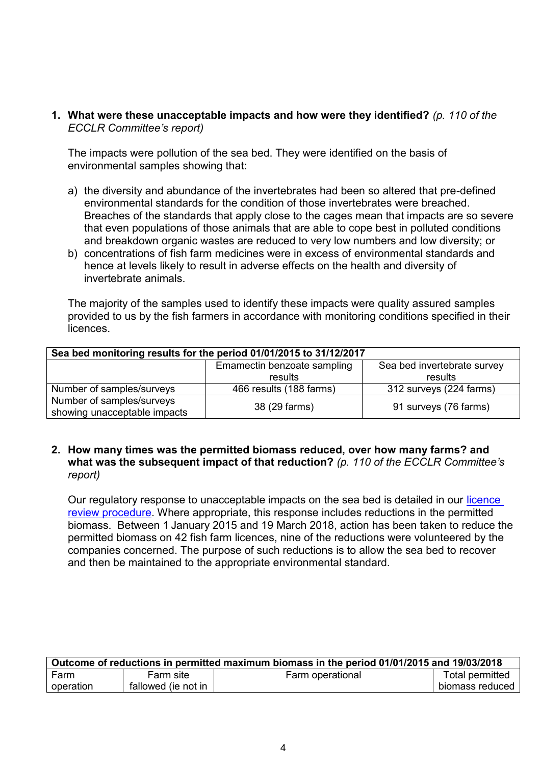**1. What were these unacceptable impacts and how were they identified?** *(p. 110 of the ECCLR Committee's report)*

The impacts were pollution of the sea bed. They were identified on the basis of environmental samples showing that:

- a) the diversity and abundance of the invertebrates had been so altered that pre-defined environmental standards for the condition of those invertebrates were breached. Breaches of the standards that apply close to the cages mean that impacts are so severe that even populations of those animals that are able to cope best in polluted conditions and breakdown organic wastes are reduced to very low numbers and low diversity; or
- b) concentrations of fish farm medicines were in excess of environmental standards and hence at levels likely to result in adverse effects on the health and diversity of invertebrate animals.

The majority of the samples used to identify these impacts were quality assured samples provided to us by the fish farmers in accordance with monitoring conditions specified in their licences.

| Sea bed monitoring results for the period 01/01/2015 to 31/12/2017 |                                                            |                         |  |
|--------------------------------------------------------------------|------------------------------------------------------------|-------------------------|--|
|                                                                    | Emamectin benzoate sampling<br>Sea bed invertebrate survey |                         |  |
|                                                                    | results                                                    | results                 |  |
| Number of samples/surveys                                          | 466 results (188 farms)                                    | 312 surveys (224 farms) |  |
| Number of samples/surveys<br>showing unacceptable impacts          | 38 (29 farms)                                              | 91 surveys (76 farms)   |  |

# **2. How many times was the permitted biomass reduced, over how many farms? and what was the subsequent impact of that reduction?** *(p. 110 of the ECCLR Committee's*

*report)*

Our regulatory response to unacceptable impacts on the sea bed is detailed in our *licence* [review procedure.](https://www.sepa.org.uk/media/114940/fish-farm-manual-attachment-15.pdf) Where appropriate, this response includes reductions in the permitted biomass. Between 1 January 2015 and 19 March 2018, action has been taken to reduce the permitted biomass on 42 fish farm licences, nine of the reductions were volunteered by the companies concerned. The purpose of such reductions is to allow the sea bed to recover and then be maintained to the appropriate environmental standard.

| Outcome of reductions in permitted maximum biomass in the period 01/01/2015 and 19/03/2018 |                     |                  |                 |
|--------------------------------------------------------------------------------------------|---------------------|------------------|-----------------|
| Farm                                                                                       | Farm site           | Farm operational | Total permitted |
| operation                                                                                  | fallowed (ie not in |                  | biomass reduced |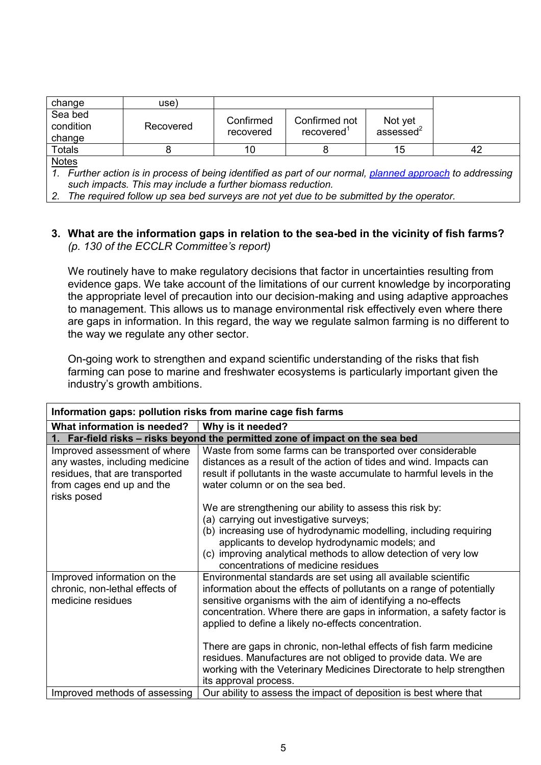| change                         | use)      |                        |                            |                                  |    |
|--------------------------------|-----------|------------------------|----------------------------|----------------------------------|----|
| Sea bed<br>condition<br>change | Recovered | Confirmed<br>recovered | Confirmed not<br>recovered | Not yet<br>assessed <sup>2</sup> |    |
| Totals                         |           | 10                     |                            | 15                               | 42 |
| <b>Notac</b>                   |           |                        |                            |                                  |    |

<u>Notes</u>

*1. Further action is in process of being identified as part of our normal, [planned approach](https://www.sepa.org.uk/media/114940/fish-farm-manual-attachment-15.pdf) to addressing such impacts. This may include a further biomass reduction.*

*2. The required follow up sea bed surveys are not yet due to be submitted by the operator.*

# **3. What are the information gaps in relation to the sea-bed in the vicinity of fish farms?** *(p. 130 of the ECCLR Committee's report)*

We routinely have to make regulatory decisions that factor in uncertainties resulting from evidence gaps. We take account of the limitations of our current knowledge by incorporating the appropriate level of precaution into our decision-making and using adaptive approaches to management. This allows us to manage environmental risk effectively even where there are gaps in information. In this regard, the way we regulate salmon farming is no different to the way we regulate any other sector.

On-going work to strengthen and expand scientific understanding of the risks that fish farming can pose to marine and freshwater ecosystems is particularly important given the industry's growth ambitions.

| Information gaps: pollution risks from marine cage fish farms                                                                                |                                                                                                                                                                                                                                                                                                                                                                                                                                                                                                                                                                                     |  |
|----------------------------------------------------------------------------------------------------------------------------------------------|-------------------------------------------------------------------------------------------------------------------------------------------------------------------------------------------------------------------------------------------------------------------------------------------------------------------------------------------------------------------------------------------------------------------------------------------------------------------------------------------------------------------------------------------------------------------------------------|--|
| What information is needed?                                                                                                                  | Why is it needed?                                                                                                                                                                                                                                                                                                                                                                                                                                                                                                                                                                   |  |
|                                                                                                                                              | 1. Far-field risks - risks beyond the permitted zone of impact on the sea bed                                                                                                                                                                                                                                                                                                                                                                                                                                                                                                       |  |
| Improved assessment of where<br>any wastes, including medicine<br>residues, that are transported<br>from cages end up and the<br>risks posed | Waste from some farms can be transported over considerable<br>distances as a result of the action of tides and wind. Impacts can<br>result if pollutants in the waste accumulate to harmful levels in the<br>water column or on the sea bed.                                                                                                                                                                                                                                                                                                                                        |  |
|                                                                                                                                              | We are strengthening our ability to assess this risk by:<br>(a) carrying out investigative surveys;<br>(b) increasing use of hydrodynamic modelling, including requiring<br>applicants to develop hydrodynamic models; and<br>(c) improving analytical methods to allow detection of very low<br>concentrations of medicine residues                                                                                                                                                                                                                                                |  |
| Improved information on the<br>chronic, non-lethal effects of<br>medicine residues                                                           | Environmental standards are set using all available scientific<br>information about the effects of pollutants on a range of potentially<br>sensitive organisms with the aim of identifying a no-effects<br>concentration. Where there are gaps in information, a safety factor is<br>applied to define a likely no-effects concentration.<br>There are gaps in chronic, non-lethal effects of fish farm medicine<br>residues. Manufactures are not obliged to provide data. We are<br>working with the Veterinary Medicines Directorate to help strengthen<br>its approval process. |  |
| Improved methods of assessing                                                                                                                | Our ability to assess the impact of deposition is best where that                                                                                                                                                                                                                                                                                                                                                                                                                                                                                                                   |  |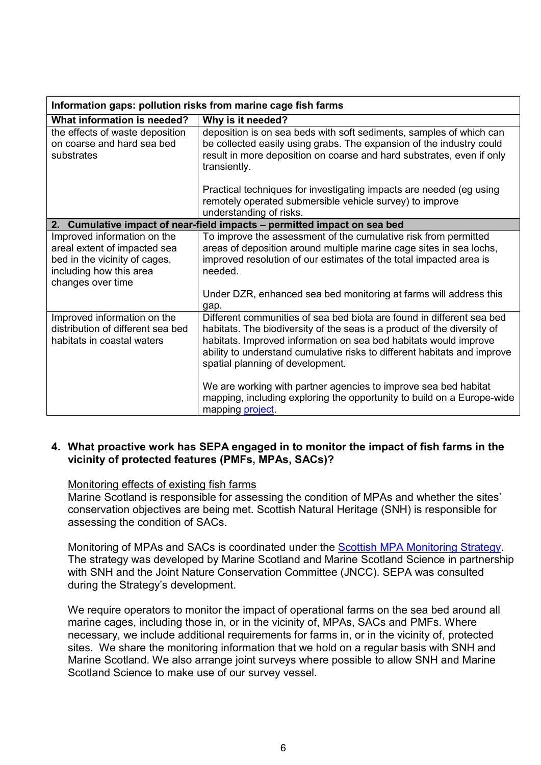| Information gaps: pollution risks from marine cage fish farms                                                                                |                                                                                                                                                                                                                                                                                                                                                                                                                                                                                                                       |  |
|----------------------------------------------------------------------------------------------------------------------------------------------|-----------------------------------------------------------------------------------------------------------------------------------------------------------------------------------------------------------------------------------------------------------------------------------------------------------------------------------------------------------------------------------------------------------------------------------------------------------------------------------------------------------------------|--|
| What information is needed?                                                                                                                  | Why is it needed?                                                                                                                                                                                                                                                                                                                                                                                                                                                                                                     |  |
| the effects of waste deposition<br>on coarse and hard sea bed<br>substrates                                                                  | deposition is on sea beds with soft sediments, samples of which can<br>be collected easily using grabs. The expansion of the industry could<br>result in more deposition on coarse and hard substrates, even if only<br>transiently.                                                                                                                                                                                                                                                                                  |  |
|                                                                                                                                              | Practical techniques for investigating impacts are needed (eg using<br>remotely operated submersible vehicle survey) to improve<br>understanding of risks.                                                                                                                                                                                                                                                                                                                                                            |  |
|                                                                                                                                              | 2. Cumulative impact of near-field impacts – permitted impact on sea bed                                                                                                                                                                                                                                                                                                                                                                                                                                              |  |
| Improved information on the<br>areal extent of impacted sea<br>bed in the vicinity of cages,<br>including how this area<br>changes over time | To improve the assessment of the cumulative risk from permitted<br>areas of deposition around multiple marine cage sites in sea lochs,<br>improved resolution of our estimates of the total impacted area is<br>needed.<br>Under DZR, enhanced sea bed monitoring at farms will address this                                                                                                                                                                                                                          |  |
| Improved information on the<br>distribution of different sea bed<br>habitats in coastal waters                                               | gap.<br>Different communities of sea bed biota are found in different sea bed<br>habitats. The biodiversity of the seas is a product of the diversity of<br>habitats. Improved information on sea bed habitats would improve<br>ability to understand cumulative risks to different habitats and improve<br>spatial planning of development.<br>We are working with partner agencies to improve sea bed habitat<br>mapping, including exploring the opportunity to build on a Europe-wide<br>mapping <b>project</b> . |  |

# **4. What proactive work has SEPA engaged in to monitor the impact of fish farms in the vicinity of protected features (PMFs, MPAs, SACs)?**

# Monitoring effects of existing fish farms

Marine Scotland is responsible for assessing the condition of MPAs and whether the sites' conservation objectives are being met. Scottish Natural Heritage (SNH) is responsible for assessing the condition of SACs.

Monitoring of MPAs and SACs is coordinated under the [Scottish MPA Monitoring Strategy.](http://www.gov.scot/Topics/marine/marine-environment/mpanetwork/MPAmonitoring) The strategy was developed by Marine Scotland and Marine Scotland Science in partnership with SNH and the Joint Nature Conservation Committee (JNCC). SEPA was consulted during the Strategy's development.

We require operators to monitor the impact of operational farms on the sea bed around all marine cages, including those in, or in the vicinity of, MPAs, SACs and PMFs. Where necessary, we include additional requirements for farms in, or in the vicinity of, protected sites. We share the monitoring information that we hold on a regular basis with SNH and Marine Scotland. We also arrange joint surveys where possible to allow SNH and Marine Scotland Science to make use of our survey vessel.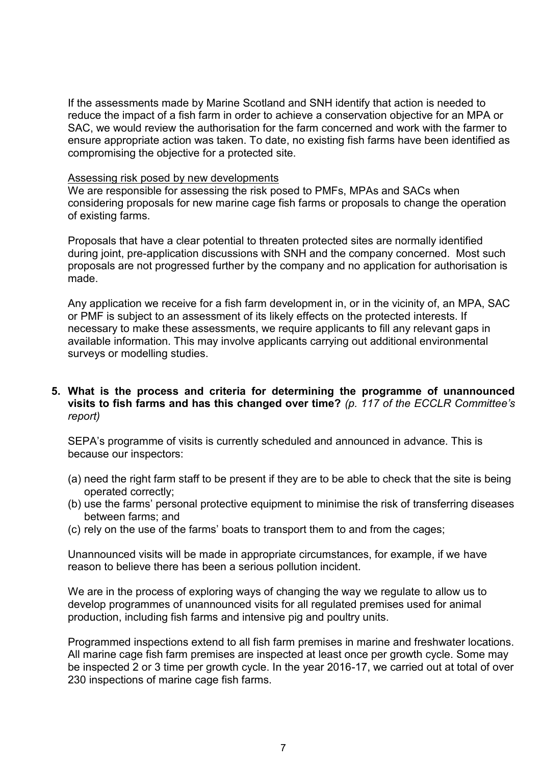If the assessments made by Marine Scotland and SNH identify that action is needed to reduce the impact of a fish farm in order to achieve a conservation objective for an MPA or SAC, we would review the authorisation for the farm concerned and work with the farmer to ensure appropriate action was taken. To date, no existing fish farms have been identified as compromising the objective for a protected site.

### Assessing risk posed by new developments

We are responsible for assessing the risk posed to PMFs, MPAs and SACs when considering proposals for new marine cage fish farms or proposals to change the operation of existing farms.

Proposals that have a clear potential to threaten protected sites are normally identified during joint, pre-application discussions with SNH and the company concerned. Most such proposals are not progressed further by the company and no application for authorisation is made.

Any application we receive for a fish farm development in, or in the vicinity of, an MPA, SAC or PMF is subject to an assessment of its likely effects on the protected interests. If necessary to make these assessments, we require applicants to fill any relevant gaps in available information. This may involve applicants carrying out additional environmental surveys or modelling studies.

# **5. What is the process and criteria for determining the programme of unannounced visits to fish farms and has this changed over time?** *(p. 117 of the ECCLR Committee's report)*

SEPA's programme of visits is currently scheduled and announced in advance. This is because our inspectors:

- (a) need the right farm staff to be present if they are to be able to check that the site is being operated correctly;
- (b) use the farms' personal protective equipment to minimise the risk of transferring diseases between farms; and
- (c) rely on the use of the farms' boats to transport them to and from the cages;

Unannounced visits will be made in appropriate circumstances, for example, if we have reason to believe there has been a serious pollution incident.

We are in the process of exploring ways of changing the way we regulate to allow us to develop programmes of unannounced visits for all regulated premises used for animal production, including fish farms and intensive pig and poultry units.

Programmed inspections extend to all fish farm premises in marine and freshwater locations. All marine cage fish farm premises are inspected at least once per growth cycle. Some may be inspected 2 or 3 time per growth cycle. In the year 2016-17, we carried out at total of over 230 inspections of marine cage fish farms.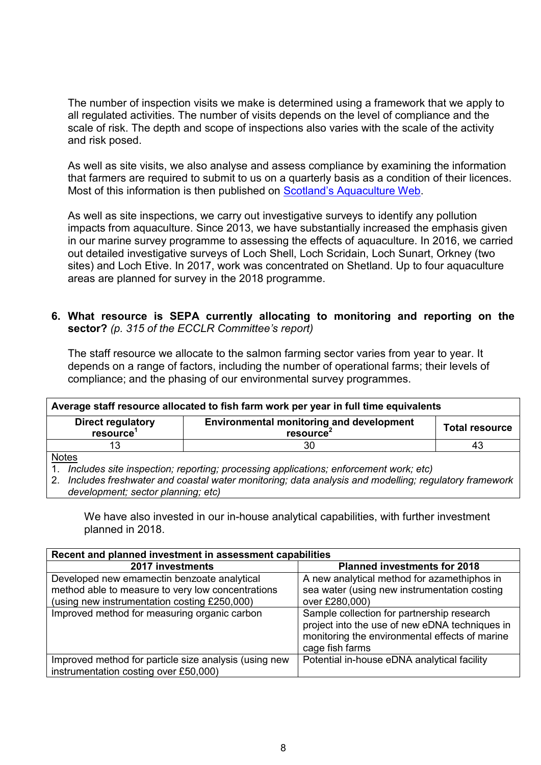The number of inspection visits we make is determined using a framework that we apply to all regulated activities. The number of visits depends on the level of compliance and the scale of risk. The depth and scope of inspections also varies with the scale of the activity and risk posed.

As well as site visits, we also analyse and assess compliance by examining the information that farmers are required to submit to us on a quarterly basis as a condition of their licences. Most of this information is then published on Scotland's A[quaculture Web.](http://aquaculture.scotland.gov.uk/data/fish_farms_monthly_biomass_and_treatment_reports.aspx)

As well as site inspections, we carry out investigative surveys to identify any pollution impacts from aquaculture. Since 2013, we have substantially increased the emphasis given in our marine survey programme to assessing the effects of aquaculture. In 2016, we carried out detailed investigative surveys of Loch Shell, Loch Scridain, Loch Sunart, Orkney (two sites) and Loch Etive. In 2017, work was concentrated on Shetland. Up to four aquaculture areas are planned for survey in the 2018 programme.

# **6. What resource is SEPA currently allocating to monitoring and reporting on the sector?** *(p. 315 of the ECCLR Committee's report)*

The staff resource we allocate to the salmon farming sector varies from year to year. It depends on a range of factors, including the number of operational farms; their levels of compliance; and the phasing of our environmental survey programmes.

| Average staff resource allocated to fish farm work per year in full time equivalents                                                             |    |    |
|--------------------------------------------------------------------------------------------------------------------------------------------------|----|----|
| <b>Environmental monitoring and development</b><br><b>Direct regulatory</b><br><b>Total resource</b><br>resource <sup>1</sup><br><b>resource</b> |    |    |
| 13                                                                                                                                               | 30 | 43 |
| <u>Notes</u>                                                                                                                                     |    |    |

1. *Includes site inspection; reporting; processing applications; enforcement work; etc)*

2. *Includes freshwater and coastal water monitoring; data analysis and modelling; regulatory framework development; sector planning; etc)*

We have also invested in our in-house analytical capabilities, with further investment planned in 2018.

| Recent and planned investment in assessment capabilities                                                                                         |                                                                                                                                                                   |  |  |
|--------------------------------------------------------------------------------------------------------------------------------------------------|-------------------------------------------------------------------------------------------------------------------------------------------------------------------|--|--|
| 2017 investments                                                                                                                                 | <b>Planned investments for 2018</b>                                                                                                                               |  |  |
| Developed new emamectin benzoate analytical<br>method able to measure to very low concentrations<br>(using new instrumentation costing £250,000) | A new analytical method for azamethiphos in<br>sea water (using new instrumentation costing<br>over £280,000)                                                     |  |  |
| Improved method for measuring organic carbon                                                                                                     | Sample collection for partnership research<br>project into the use of new eDNA techniques in<br>monitoring the environmental effects of marine<br>cage fish farms |  |  |
| Improved method for particle size analysis (using new<br>instrumentation costing over £50,000)                                                   | Potential in-house eDNA analytical facility                                                                                                                       |  |  |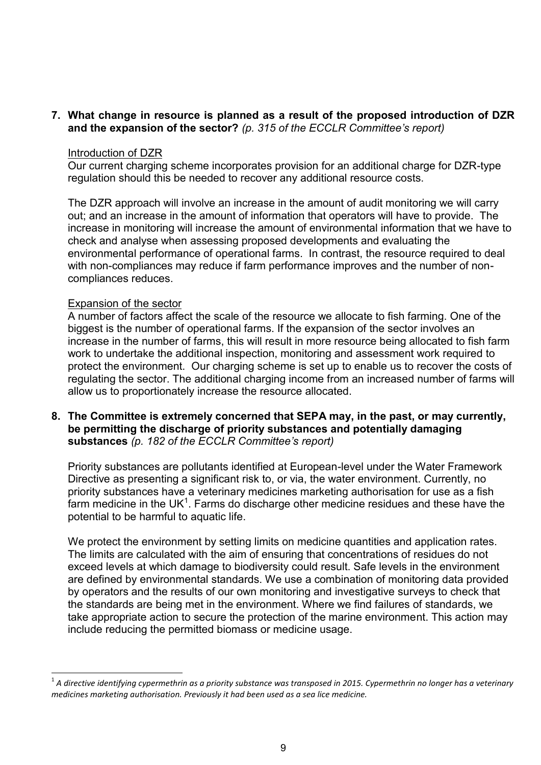## **7. What change in resource is planned as a result of the proposed introduction of DZR and the expansion of the sector?** *(p. 315 of the ECCLR Committee's report)*

#### Introduction of DZR

Our current charging scheme incorporates provision for an additional charge for DZR-type regulation should this be needed to recover any additional resource costs.

The DZR approach will involve an increase in the amount of audit monitoring we will carry out; and an increase in the amount of information that operators will have to provide. The increase in monitoring will increase the amount of environmental information that we have to check and analyse when assessing proposed developments and evaluating the environmental performance of operational farms. In contrast, the resource required to deal with non-compliances may reduce if farm performance improves and the number of noncompliances reduces.

### Expansion of the sector

-

A number of factors affect the scale of the resource we allocate to fish farming. One of the biggest is the number of operational farms. If the expansion of the sector involves an increase in the number of farms, this will result in more resource being allocated to fish farm work to undertake the additional inspection, monitoring and assessment work required to protect the environment. Our charging scheme is set up to enable us to recover the costs of regulating the sector. The additional charging income from an increased number of farms will allow us to proportionately increase the resource allocated.

**8. The Committee is extremely concerned that SEPA may, in the past, or may currently, be permitting the discharge of priority substances and potentially damaging substances** *(p. 182 of the ECCLR Committee's report)*

Priority substances are pollutants identified at European-level under the Water Framework Directive as presenting a significant risk to, or via, the water environment. Currently, no priority substances have a veterinary medicines marketing authorisation for use as a fish farm medicine in the UK $1$ . Farms do discharge other medicine residues and these have the potential to be harmful to aquatic life.

We protect the environment by setting limits on medicine quantities and application rates. The limits are calculated with the aim of ensuring that concentrations of residues do not exceed levels at which damage to biodiversity could result. Safe levels in the environment are defined by environmental standards. We use a combination of monitoring data provided by operators and the results of our own monitoring and investigative surveys to check that the standards are being met in the environment. Where we find failures of standards, we take appropriate action to secure the protection of the marine environment. This action may include reducing the permitted biomass or medicine usage.

<sup>1</sup> *A directive identifying cypermethrin as a priority substance was transposed in 2015. Cypermethrin no longer has a veterinary medicines marketing authorisation. Previously it had been used as a sea lice medicine.*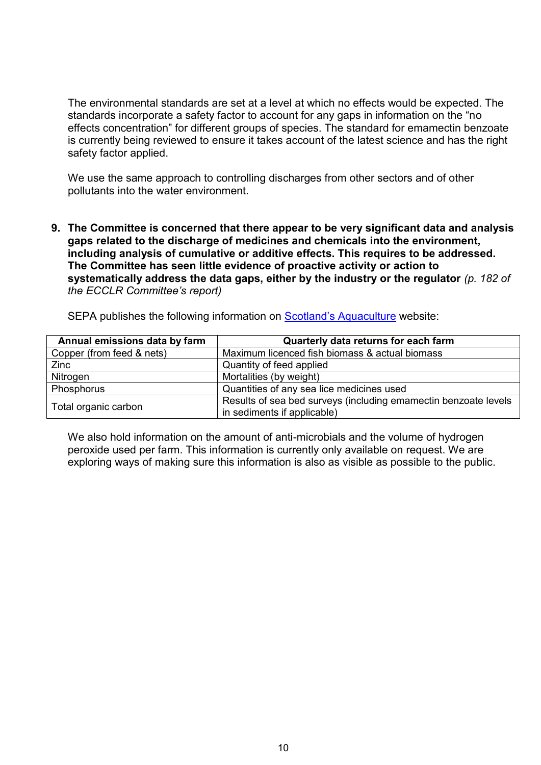The environmental standards are set at a level at which no effects would be expected. The standards incorporate a safety factor to account for any gaps in information on the "no effects concentration" for different groups of species. The standard for emamectin benzoate is currently being reviewed to ensure it takes account of the latest science and has the right safety factor applied.

We use the same approach to controlling discharges from other sectors and of other pollutants into the water environment.

**9. The Committee is concerned that there appear to be very significant data and analysis gaps related to the discharge of medicines and chemicals into the environment, including analysis of cumulative or additive effects. This requires to be addressed. The Committee has seen little evidence of proactive activity or action to systematically address the data gaps, either by the industry or the regulator** *(p. 182 of the ECCLR Committee's report)*

SEPA publishes the following information on [Scotland's Aquaculture](http://aquaculture.scotland.gov.uk/) website:

| Annual emissions data by farm | Quarterly data returns for each farm                            |
|-------------------------------|-----------------------------------------------------------------|
| Copper (from feed & nets)     | Maximum licenced fish biomass & actual biomass                  |
| Zinc                          | Quantity of feed applied                                        |
| Nitrogen                      | Mortalities (by weight)                                         |
| Phosphorus                    | Quantities of any sea lice medicines used                       |
|                               | Results of sea bed surveys (including emamectin benzoate levels |
| Total organic carbon          | in sediments if applicable)                                     |

We also hold information on the amount of anti-microbials and the volume of hydrogen peroxide used per farm. This information is currently only available on request. We are exploring ways of making sure this information is also as visible as possible to the public.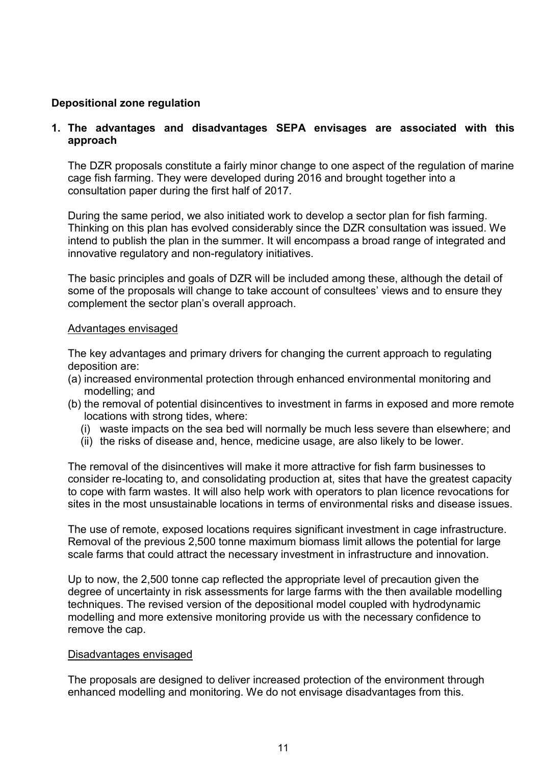# **Depositional zone regulation**

# **1. The advantages and disadvantages SEPA envisages are associated with this approach**

The DZR proposals constitute a fairly minor change to one aspect of the regulation of marine cage fish farming. They were developed during 2016 and brought together into a consultation paper during the first half of 2017.

During the same period, we also initiated work to develop a sector plan for fish farming. Thinking on this plan has evolved considerably since the DZR consultation was issued. We intend to publish the plan in the summer. It will encompass a broad range of integrated and innovative regulatory and non-regulatory initiatives.

The basic principles and goals of DZR will be included among these, although the detail of some of the proposals will change to take account of consultees' views and to ensure they complement the sector plan's overall approach.

#### Advantages envisaged

The key advantages and primary drivers for changing the current approach to regulating deposition are:

- (a) increased environmental protection through enhanced environmental monitoring and modelling; and
- (b) the removal of potential disincentives to investment in farms in exposed and more remote locations with strong tides, where:
	- (i) waste impacts on the sea bed will normally be much less severe than elsewhere; and
	- (ii) the risks of disease and, hence, medicine usage, are also likely to be lower.

The removal of the disincentives will make it more attractive for fish farm businesses to consider re-locating to, and consolidating production at, sites that have the greatest capacity to cope with farm wastes. It will also help work with operators to plan licence revocations for sites in the most unsustainable locations in terms of environmental risks and disease issues.

The use of remote, exposed locations requires significant investment in cage infrastructure. Removal of the previous 2,500 tonne maximum biomass limit allows the potential for large scale farms that could attract the necessary investment in infrastructure and innovation.

Up to now, the 2,500 tonne cap reflected the appropriate level of precaution given the degree of uncertainty in risk assessments for large farms with the then available modelling techniques. The revised version of the depositional model coupled with hydrodynamic modelling and more extensive monitoring provide us with the necessary confidence to remove the cap.

#### Disadvantages envisaged

The proposals are designed to deliver increased protection of the environment through enhanced modelling and monitoring. We do not envisage disadvantages from this.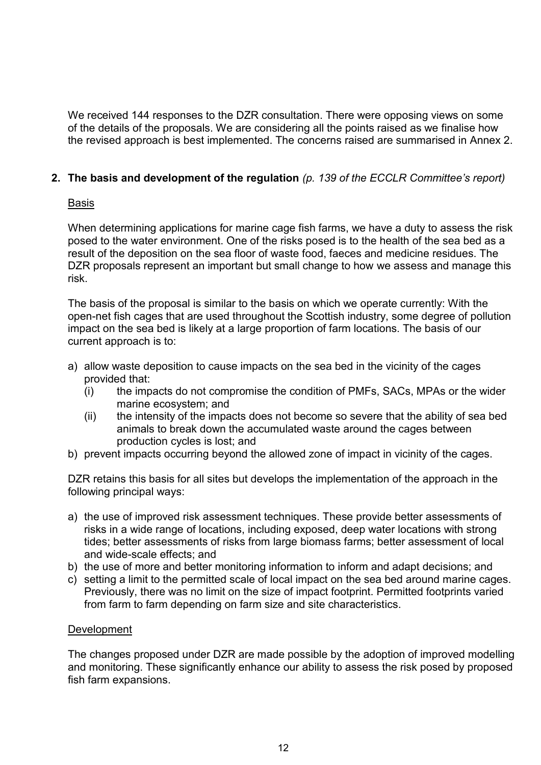We received 144 responses to the DZR consultation. There were opposing views on some of the details of the proposals. We are considering all the points raised as we finalise how the revised approach is best implemented. The concerns raised are summarised in Annex 2.

# **2. The basis and development of the regulation** *(p. 139 of the ECCLR Committee's report)*

# Basis

When determining applications for marine cage fish farms, we have a duty to assess the risk posed to the water environment. One of the risks posed is to the health of the sea bed as a result of the deposition on the sea floor of waste food, faeces and medicine residues. The DZR proposals represent an important but small change to how we assess and manage this risk.

The basis of the proposal is similar to the basis on which we operate currently: With the open-net fish cages that are used throughout the Scottish industry, some degree of pollution impact on the sea bed is likely at a large proportion of farm locations. The basis of our current approach is to:

- a) allow waste deposition to cause impacts on the sea bed in the vicinity of the cages provided that:
	- (i) the impacts do not compromise the condition of PMFs, SACs, MPAs or the wider marine ecosystem; and
	- (ii) the intensity of the impacts does not become so severe that the ability of sea bed animals to break down the accumulated waste around the cages between production cycles is lost; and
- b) prevent impacts occurring beyond the allowed zone of impact in vicinity of the cages.

DZR retains this basis for all sites but develops the implementation of the approach in the following principal ways:

- a) the use of improved risk assessment techniques. These provide better assessments of risks in a wide range of locations, including exposed, deep water locations with strong tides; better assessments of risks from large biomass farms; better assessment of local and wide-scale effects; and
- b) the use of more and better monitoring information to inform and adapt decisions; and
- c) setting a limit to the permitted scale of local impact on the sea bed around marine cages. Previously, there was no limit on the size of impact footprint. Permitted footprints varied from farm to farm depending on farm size and site characteristics.

# **Development**

The changes proposed under DZR are made possible by the adoption of improved modelling and monitoring. These significantly enhance our ability to assess the risk posed by proposed fish farm expansions.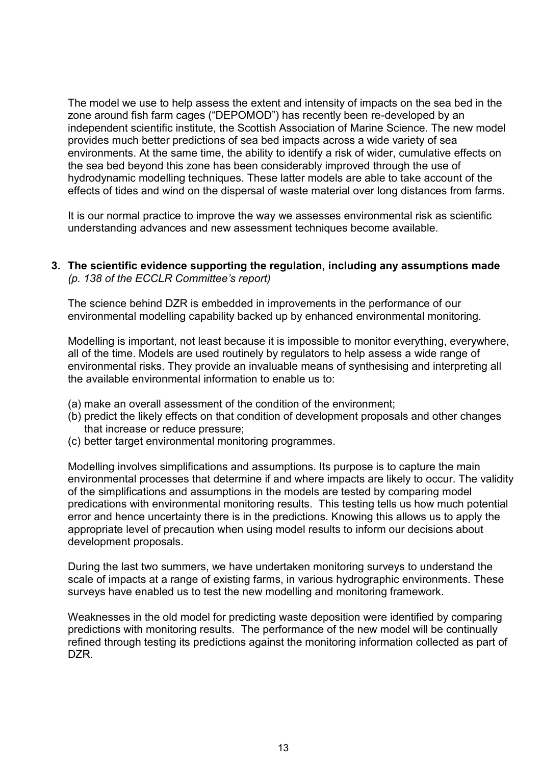The model we use to help assess the extent and intensity of impacts on the sea bed in the zone around fish farm cages ("DEPOMOD") has recently been re-developed by an independent scientific institute, the Scottish Association of Marine Science. The new model provides much better predictions of sea bed impacts across a wide variety of sea environments. At the same time, the ability to identify a risk of wider, cumulative effects on the sea bed beyond this zone has been considerably improved through the use of hydrodynamic modelling techniques. These latter models are able to take account of the effects of tides and wind on the dispersal of waste material over long distances from farms.

It is our normal practice to improve the way we assesses environmental risk as scientific understanding advances and new assessment techniques become available.

## **3. The scientific evidence supporting the regulation, including any assumptions made**  *(p. 138 of the ECCLR Committee's report)*

The science behind DZR is embedded in improvements in the performance of our environmental modelling capability backed up by enhanced environmental monitoring.

Modelling is important, not least because it is impossible to monitor everything, everywhere, all of the time. Models are used routinely by regulators to help assess a wide range of environmental risks. They provide an invaluable means of synthesising and interpreting all the available environmental information to enable us to:

- (a) make an overall assessment of the condition of the environment;
- (b) predict the likely effects on that condition of development proposals and other changes that increase or reduce pressure;
- (c) better target environmental monitoring programmes.

Modelling involves simplifications and assumptions. Its purpose is to capture the main environmental processes that determine if and where impacts are likely to occur. The validity of the simplifications and assumptions in the models are tested by comparing model predications with environmental monitoring results. This testing tells us how much potential error and hence uncertainty there is in the predictions. Knowing this allows us to apply the appropriate level of precaution when using model results to inform our decisions about development proposals.

During the last two summers, we have undertaken monitoring surveys to understand the scale of impacts at a range of existing farms, in various hydrographic environments. These surveys have enabled us to test the new modelling and monitoring framework.

Weaknesses in the old model for predicting waste deposition were identified by comparing predictions with monitoring results. The performance of the new model will be continually refined through testing its predictions against the monitoring information collected as part of DZR.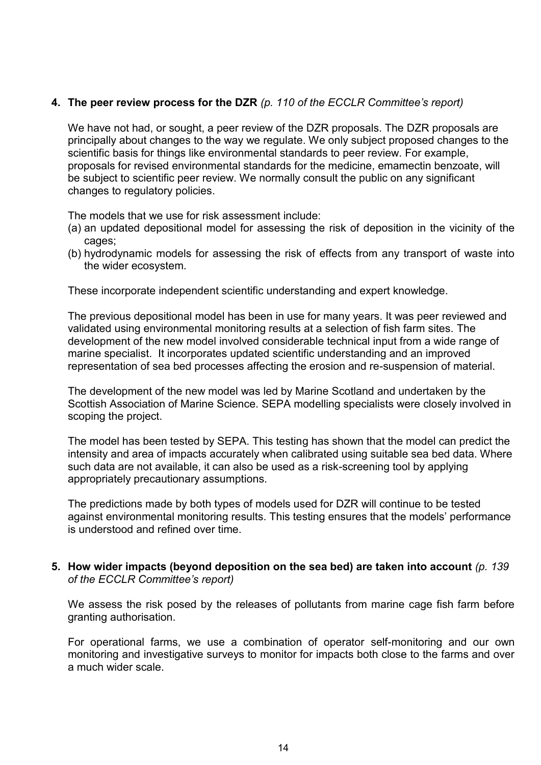# **4. The peer review process for the DZR** *(p. 110 of the ECCLR Committee's report)*

We have not had, or sought, a peer review of the DZR proposals. The DZR proposals are principally about changes to the way we regulate. We only subject proposed changes to the scientific basis for things like environmental standards to peer review. For example, proposals for revised environmental standards for the medicine, emamectin benzoate, will be subject to scientific peer review. We normally consult the public on any significant changes to regulatory policies.

The models that we use for risk assessment include:

- (a) an updated depositional model for assessing the risk of deposition in the vicinity of the cages;
- (b) hydrodynamic models for assessing the risk of effects from any transport of waste into the wider ecosystem.

These incorporate independent scientific understanding and expert knowledge.

The previous depositional model has been in use for many years. It was peer reviewed and validated using environmental monitoring results at a selection of fish farm sites. The development of the new model involved considerable technical input from a wide range of marine specialist. It incorporates updated scientific understanding and an improved representation of sea bed processes affecting the erosion and re-suspension of material.

The development of the new model was led by Marine Scotland and undertaken by the Scottish Association of Marine Science. SEPA modelling specialists were closely involved in scoping the project.

The model has been tested by SEPA. This testing has shown that the model can predict the intensity and area of impacts accurately when calibrated using suitable sea bed data. Where such data are not available, it can also be used as a risk-screening tool by applying appropriately precautionary assumptions.

The predictions made by both types of models used for DZR will continue to be tested against environmental monitoring results. This testing ensures that the models' performance is understood and refined over time.

# **5. How wider impacts (beyond deposition on the sea bed) are taken into account** *(p. 139 of the ECCLR Committee's report)*

We assess the risk posed by the releases of pollutants from marine cage fish farm before granting authorisation.

For operational farms, we use a combination of operator self-monitoring and our own monitoring and investigative surveys to monitor for impacts both close to the farms and over a much wider scale.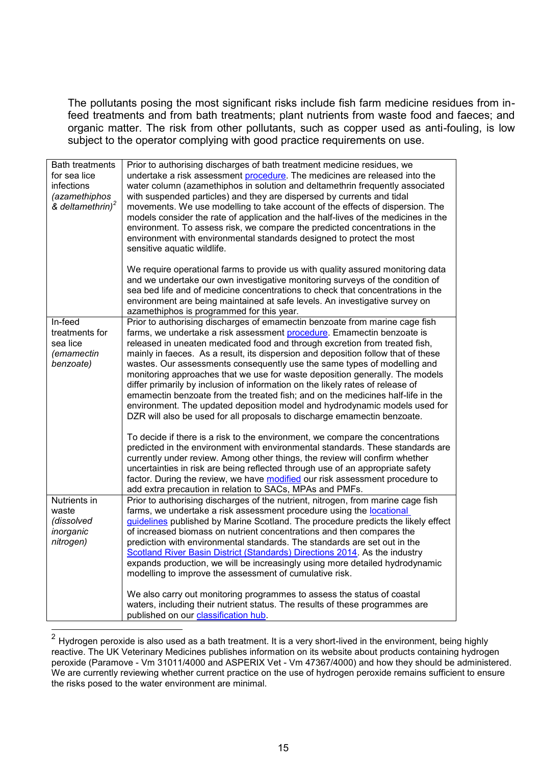The pollutants posing the most significant risks include fish farm medicine residues from infeed treatments and from bath treatments; plant nutrients from waste food and faeces; and organic matter. The risk from other pollutants, such as copper used as anti-fouling, is low subject to the operator complying with good practice requirements on use.

| <b>Bath treatments</b><br>for sea lice<br>infections<br>(azamethiphos<br>& deltamethrin) <sup>2</sup> | Prior to authorising discharges of bath treatment medicine residues, we<br>undertake a risk assessment procedure. The medicines are released into the<br>water column (azamethiphos in solution and deltamethrin frequently associated<br>with suspended particles) and they are dispersed by currents and tidal<br>movements. We use modelling to take account of the effects of dispersion. The<br>models consider the rate of application and the half-lives of the medicines in the<br>environment. To assess risk, we compare the predicted concentrations in the<br>environment with environmental standards designed to protect the most<br>sensitive aquatic wildlife.                                                                                                                                                                                                                                                                                                                                                                                                                                                                                                                                                                                                                        |
|-------------------------------------------------------------------------------------------------------|-------------------------------------------------------------------------------------------------------------------------------------------------------------------------------------------------------------------------------------------------------------------------------------------------------------------------------------------------------------------------------------------------------------------------------------------------------------------------------------------------------------------------------------------------------------------------------------------------------------------------------------------------------------------------------------------------------------------------------------------------------------------------------------------------------------------------------------------------------------------------------------------------------------------------------------------------------------------------------------------------------------------------------------------------------------------------------------------------------------------------------------------------------------------------------------------------------------------------------------------------------------------------------------------------------|
|                                                                                                       | We require operational farms to provide us with quality assured monitoring data<br>and we undertake our own investigative monitoring surveys of the condition of<br>sea bed life and of medicine concentrations to check that concentrations in the<br>environment are being maintained at safe levels. An investigative survey on<br>azamethiphos is programmed for this year.                                                                                                                                                                                                                                                                                                                                                                                                                                                                                                                                                                                                                                                                                                                                                                                                                                                                                                                       |
| In-feed<br>treatments for<br>sea lice<br>(emamectin<br>benzoate)                                      | Prior to authorising discharges of emamectin benzoate from marine cage fish<br>farms, we undertake a risk assessment procedure. Emamectin benzoate is<br>released in uneaten medicated food and through excretion from treated fish,<br>mainly in faeces. As a result, its dispersion and deposition follow that of these<br>wastes. Our assessments consequently use the same types of modelling and<br>monitoring approaches that we use for waste deposition generally. The models<br>differ primarily by inclusion of information on the likely rates of release of<br>emamectin benzoate from the treated fish; and on the medicines half-life in the<br>environment. The updated deposition model and hydrodynamic models used for<br>DZR will also be used for all proposals to discharge emamectin benzoate.<br>To decide if there is a risk to the environment, we compare the concentrations<br>predicted in the environment with environmental standards. These standards are<br>currently under review. Among other things, the review will confirm whether<br>uncertainties in risk are being reflected through use of an appropriate safety<br>factor. During the review, we have modified our risk assessment procedure to<br>add extra precaution in relation to SACs, MPAs and PMFs. |
| Nutrients in<br>waste<br>(dissolved<br>inorganic<br>nitrogen)                                         | Prior to authorising discharges of the nutrient, nitrogen, from marine cage fish<br>farms, we undertake a risk assessment procedure using the locational<br>guidelines published by Marine Scotland. The procedure predicts the likely effect<br>of increased biomass on nutrient concentrations and then compares the<br>prediction with environmental standards. The standards are set out in the<br>Scotland River Basin District (Standards) Directions 2014. As the industry<br>expands production, we will be increasingly using more detailed hydrodynamic<br>modelling to improve the assessment of cumulative risk.<br>We also carry out monitoring programmes to assess the status of coastal                                                                                                                                                                                                                                                                                                                                                                                                                                                                                                                                                                                               |
|                                                                                                       | waters, including their nutrient status. The results of these programmes are<br>published on our classification hub.                                                                                                                                                                                                                                                                                                                                                                                                                                                                                                                                                                                                                                                                                                                                                                                                                                                                                                                                                                                                                                                                                                                                                                                  |

 2 Hydrogen peroxide is also used as a bath treatment. It is a very short-lived in the environment, being highly reactive. The UK Veterinary Medicines publishes information on its website about products containing hydrogen peroxide (Paramove - Vm 31011/4000 and ASPERIX Vet - Vm 47367/4000) and how they should be administered. We are currently reviewing whether current practice on the use of hydrogen peroxide remains sufficient to ensure the risks posed to the water environment are minimal.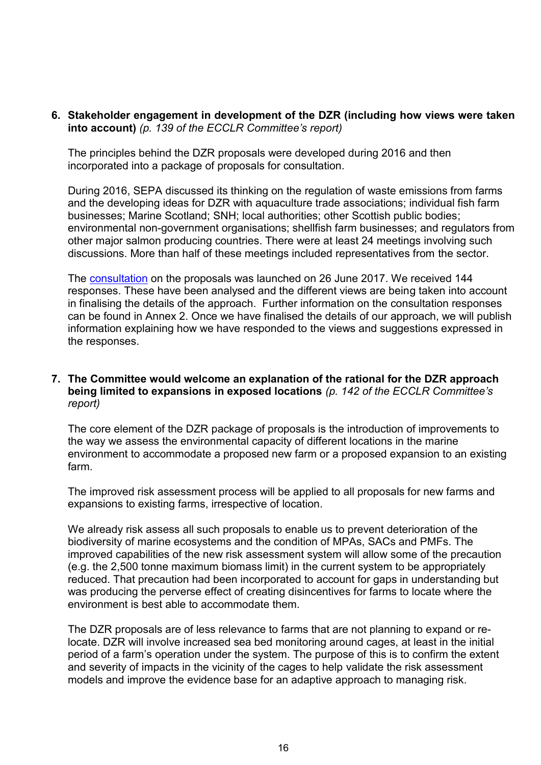**6. Stakeholder engagement in development of the DZR (including how views were taken into account)** *(p. 139 of the ECCLR Committee's report)*

The principles behind the DZR proposals were developed during 2016 and then incorporated into a package of proposals for consultation.

During 2016, SEPA discussed its thinking on the regulation of waste emissions from farms and the developing ideas for DZR with aquaculture trade associations; individual fish farm businesses; Marine Scotland; SNH; local authorities; other Scottish public bodies; environmental non-government organisations; shellfish farm businesses; and regulators from other major salmon producing countries. There were at least 24 meetings involving such discussions. More than half of these meetings included representatives from the sector.

The [consultation](https://consultation.sepa.org.uk/communications/depositional-zone-regulation/) on the proposals was launched on 26 June 2017. We received 144 responses. These have been analysed and the different views are being taken into account in finalising the details of the approach. Further information on the consultation responses can be found in Annex 2. Once we have finalised the details of our approach, we will publish information explaining how we have responded to the views and suggestions expressed in the responses.

#### **7. The Committee would welcome an explanation of the rational for the DZR approach being limited to expansions in exposed locations** *(p. 142 of the ECCLR Committee's report)*

The core element of the DZR package of proposals is the introduction of improvements to the way we assess the environmental capacity of different locations in the marine environment to accommodate a proposed new farm or a proposed expansion to an existing farm.

The improved risk assessment process will be applied to all proposals for new farms and expansions to existing farms, irrespective of location.

We already risk assess all such proposals to enable us to prevent deterioration of the biodiversity of marine ecosystems and the condition of MPAs, SACs and PMFs. The improved capabilities of the new risk assessment system will allow some of the precaution (e.g. the 2,500 tonne maximum biomass limit) in the current system to be appropriately reduced. That precaution had been incorporated to account for gaps in understanding but was producing the perverse effect of creating disincentives for farms to locate where the environment is best able to accommodate them.

The DZR proposals are of less relevance to farms that are not planning to expand or relocate. DZR will involve increased sea bed monitoring around cages, at least in the initial period of a farm's operation under the system. The purpose of this is to confirm the extent and severity of impacts in the vicinity of the cages to help validate the risk assessment models and improve the evidence base for an adaptive approach to managing risk.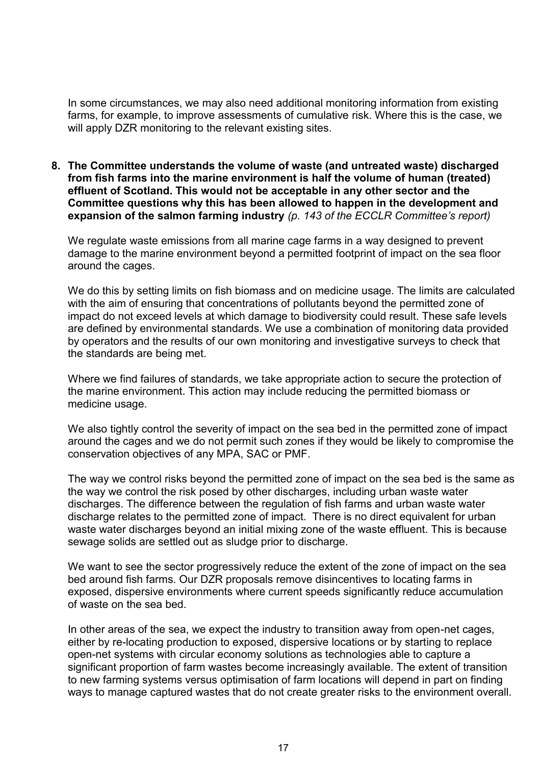In some circumstances, we may also need additional monitoring information from existing farms, for example, to improve assessments of cumulative risk. Where this is the case, we will apply DZR monitoring to the relevant existing sites.

**8. The Committee understands the volume of waste (and untreated waste) discharged from fish farms into the marine environment is half the volume of human (treated) effluent of Scotland. This would not be acceptable in any other sector and the Committee questions why this has been allowed to happen in the development and expansion of the salmon farming industry** *(p. 143 of the ECCLR Committee's report)*

We regulate waste emissions from all marine cage farms in a way designed to prevent damage to the marine environment beyond a permitted footprint of impact on the sea floor around the cages.

We do this by setting limits on fish biomass and on medicine usage. The limits are calculated with the aim of ensuring that concentrations of pollutants beyond the permitted zone of impact do not exceed levels at which damage to biodiversity could result. These safe levels are defined by environmental standards. We use a combination of monitoring data provided by operators and the results of our own monitoring and investigative surveys to check that the standards are being met.

Where we find failures of standards, we take appropriate action to secure the protection of the marine environment. This action may include reducing the permitted biomass or medicine usage.

We also tightly control the severity of impact on the sea bed in the permitted zone of impact around the cages and we do not permit such zones if they would be likely to compromise the conservation objectives of any MPA, SAC or PMF.

The way we control risks beyond the permitted zone of impact on the sea bed is the same as the way we control the risk posed by other discharges, including urban waste water discharges. The difference between the regulation of fish farms and urban waste water discharge relates to the permitted zone of impact. There is no direct equivalent for urban waste water discharges beyond an initial mixing zone of the waste effluent. This is because sewage solids are settled out as sludge prior to discharge.

We want to see the sector progressively reduce the extent of the zone of impact on the sea bed around fish farms. Our DZR proposals remove disincentives to locating farms in exposed, dispersive environments where current speeds significantly reduce accumulation of waste on the sea bed.

In other areas of the sea, we expect the industry to transition away from open-net cages, either by re-locating production to exposed, dispersive locations or by starting to replace open-net systems with circular economy solutions as technologies able to capture a significant proportion of farm wastes become increasingly available. The extent of transition to new farming systems versus optimisation of farm locations will depend in part on finding ways to manage captured wastes that do not create greater risks to the environment overall.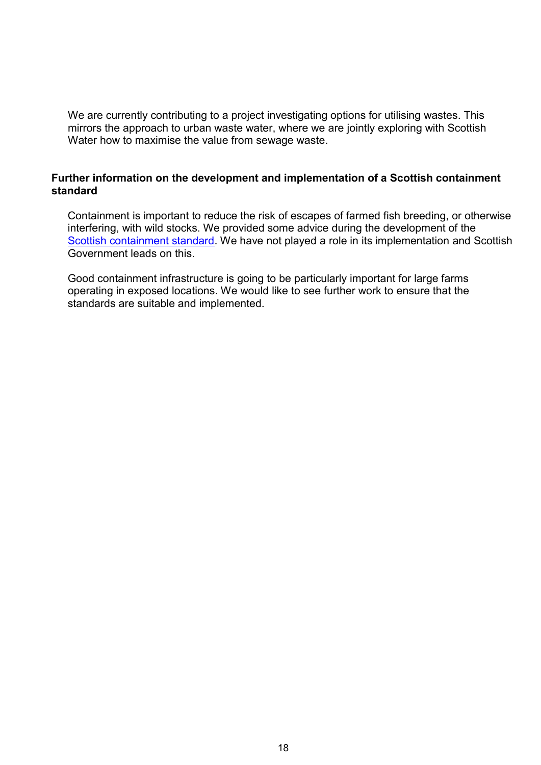We are currently contributing to a project investigating options for utilising wastes. This mirrors the approach to urban waste water, where we are jointly exploring with Scottish Water how to maximise the value from sewage waste.

# **Further information on the development and implementation of a Scottish containment standard**

Containment is important to reduce the risk of escapes of farmed fish breeding, or otherwise interfering, with wild stocks. We provided some advice during the development of the [Scottish containment standard.](http://www.gov.scot/Publications/2015/06/5747) We have not played a role in its implementation and Scottish Government leads on this.

Good containment infrastructure is going to be particularly important for large farms operating in exposed locations. We would like to see further work to ensure that the standards are suitable and implemented.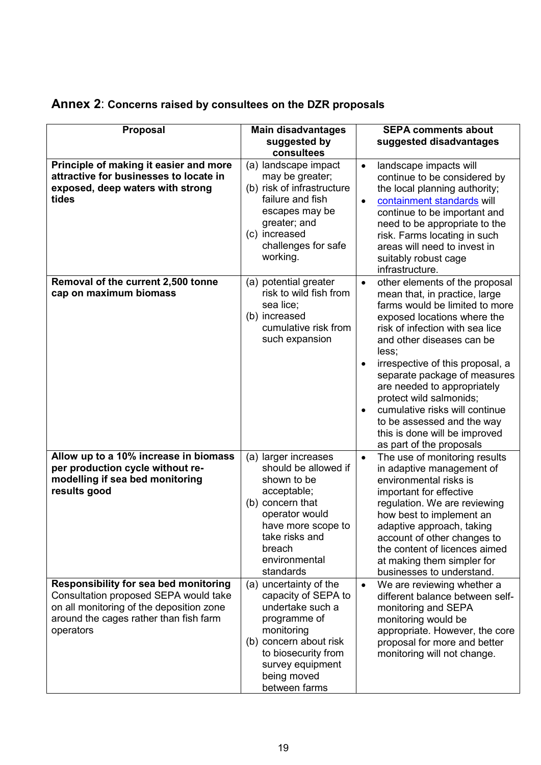| Proposal                                                                                                                                                                                 | <b>Main disadvantages</b><br>suggested by<br>consultees                                                                                                                                              | <b>SEPA comments about</b><br>suggested disadvantages                                                                                                                                                                                                                                                                                                                                                                                                                                          |
|------------------------------------------------------------------------------------------------------------------------------------------------------------------------------------------|------------------------------------------------------------------------------------------------------------------------------------------------------------------------------------------------------|------------------------------------------------------------------------------------------------------------------------------------------------------------------------------------------------------------------------------------------------------------------------------------------------------------------------------------------------------------------------------------------------------------------------------------------------------------------------------------------------|
| Principle of making it easier and more<br>attractive for businesses to locate in<br>exposed, deep waters with strong<br>tides                                                            | (a) landscape impact<br>may be greater;<br>(b) risk of infrastructure<br>failure and fish<br>escapes may be<br>greater; and<br>(c) increased<br>challenges for safe<br>working.                      | landscape impacts will<br>$\bullet$<br>continue to be considered by<br>the local planning authority;<br>containment standards will<br>$\bullet$<br>continue to be important and<br>need to be appropriate to the<br>risk. Farms locating in such<br>areas will need to invest in<br>suitably robust cage<br>infrastructure.                                                                                                                                                                    |
| Removal of the current 2,500 tonne<br>cap on maximum biomass                                                                                                                             | (a) potential greater<br>risk to wild fish from<br>sea lice;<br>(b) increased<br>cumulative risk from<br>such expansion                                                                              | other elements of the proposal<br>$\bullet$<br>mean that, in practice, large<br>farms would be limited to more<br>exposed locations where the<br>risk of infection with sea lice<br>and other diseases can be<br>less:<br>irrespective of this proposal, a<br>separate package of measures<br>are needed to appropriately<br>protect wild salmonids;<br>cumulative risks will continue<br>$\bullet$<br>to be assessed and the way<br>this is done will be improved<br>as part of the proposals |
| Allow up to a 10% increase in biomass<br>per production cycle without re-<br>modelling if sea bed monitoring<br>results good                                                             | (a) larger increases<br>should be allowed if<br>shown to be<br>acceptable;<br>(b) concern that<br>operator would<br>have more scope to<br>take risks and<br>breach<br>environmental<br>standards     | The use of monitoring results<br>$\bullet$<br>in adaptive management of<br>environmental risks is<br>important for effective<br>regulation. We are reviewing<br>how best to implement an<br>adaptive approach, taking<br>account of other changes to<br>the content of licences aimed<br>at making them simpler for<br>businesses to understand.                                                                                                                                               |
| <b>Responsibility for sea bed monitoring</b><br>Consultation proposed SEPA would take<br>on all monitoring of the deposition zone<br>around the cages rather than fish farm<br>operators | (a) uncertainty of the<br>capacity of SEPA to<br>undertake such a<br>programme of<br>monitoring<br>(b) concern about risk<br>to biosecurity from<br>survey equipment<br>being moved<br>between farms | We are reviewing whether a<br>$\bullet$<br>different balance between self-<br>monitoring and SEPA<br>monitoring would be<br>appropriate. However, the core<br>proposal for more and better<br>monitoring will not change.                                                                                                                                                                                                                                                                      |

# **Annex 2**: **Concerns raised by consultees on the DZR proposals**